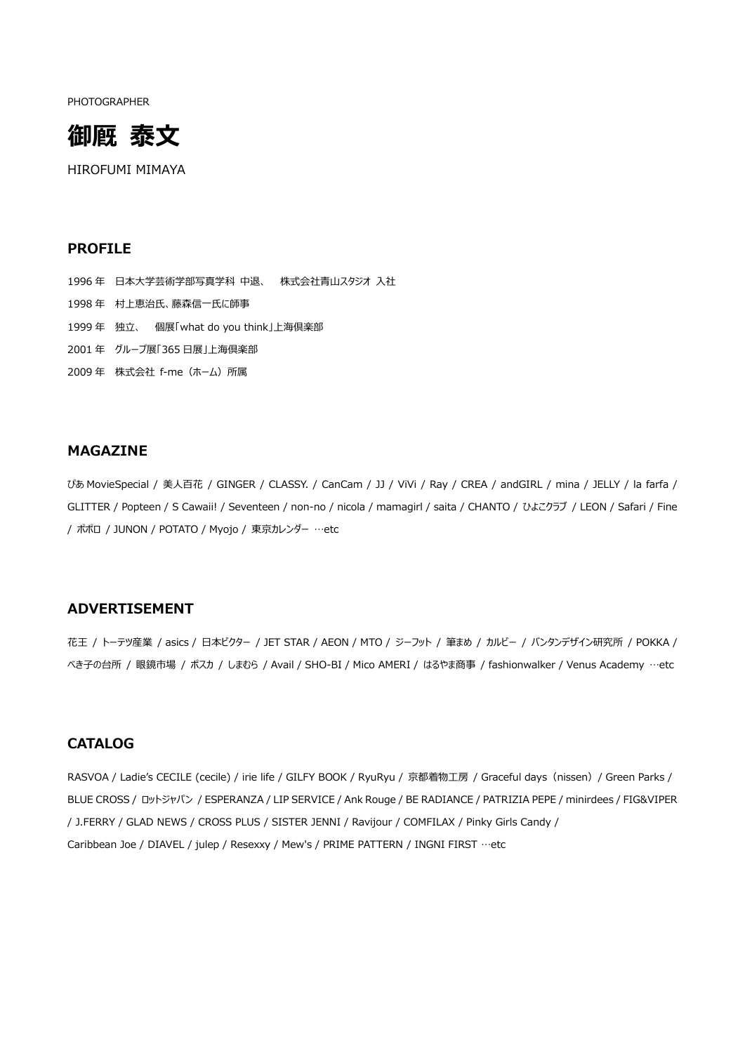PHOTOGRAPHER



HIROFUMI MIMAYA

### **PROFILE**

 年 日本大学芸術学部写真学科 中退、 株式会社青山スタジオ 入社 年 村上恵治氏、藤森信一氏に師事 年 独立、 個展「what do you think」上海倶楽部 年 グループ展「365 日展」上海倶楽部 2009年 株式会社 f-me (ホーム) 所属

# **MAGAZINE**

ぴあ MovieSpecial / 美人百花 / GINGER / CLASSY. / CanCam / JJ / ViVi / Ray / CREA / andGIRL / mina / JELLY / la farfa / GLITTER / Popteen / S Cawaii! / Seventeen / non-no / nicola / mamagirl / saita / CHANTO / ひよこクラブ / LEON / Safari / Fine / ポポロ / JUNON / POTATO / Myojo / 東京カレンダー …etc

# **ADVERTISEMENT**

花王 / トーテツ産業 / asics / 日本ビクター / JET STAR / AEON / MTO / ジーフット / 筆まめ / カルビー / バンタンデザイン研究所 / POKKA / べき子の台所 / 眼鏡市場 / ポスカ / しまむら / Avail / SHO-BI / Mico AMERI / はるやま商事 / fashionwalker / Venus Academy …etc

### **CATALOG**

RASVOA / Ladie's CECILE (cecile) / irie life / GILFY BOOK / RyuRyu / 京都着物工房 / Graceful days (nissen) / Green Parks / BLUE CROSS / ロットジャパン / ESPERANZA / LIP SERVICE / Ank Rouge / BE RADIANCE / PATRIZIA PEPE / minirdees / FIG&VIPER / J.FERRY / GLAD NEWS / CROSS PLUS / SISTER JENNI / Ravijour / COMFILAX / Pinky Girls Candy / Caribbean Joe / DIAVEL / julep / Resexxy / Mew's / PRIME PATTERN / INGNI FIRST …etc